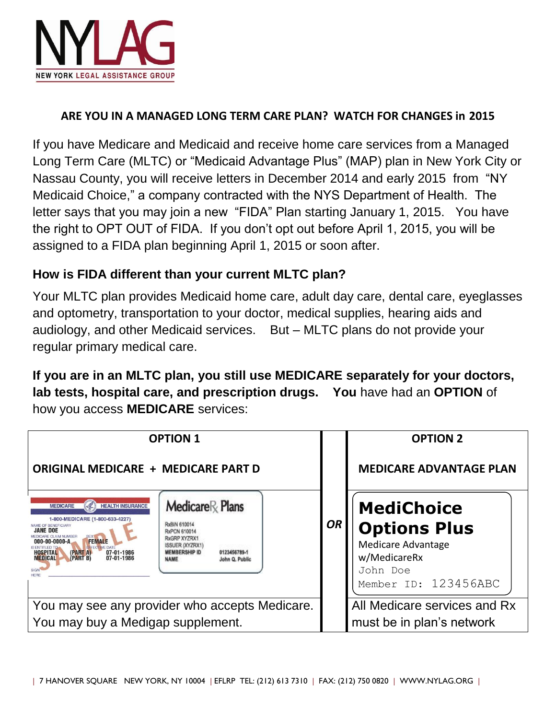

#### **ARE YOU IN A MANAGED LONG TERM CARE PLAN? WATCH FOR CHANGES in 2015**

If you have Medicare and Medicaid and receive home care services from a Managed Long Term Care (MLTC) or "Medicaid Advantage Plus" (MAP) plan in New York City or Nassau County, you will receive letters in December 2014 and early 2015 from "NY Medicaid Choice," a company contracted with the NYS Department of Health. The letter says that you may join a new "FIDA" Plan starting January 1, 2015. You have the right to OPT OUT of FIDA. If you don't opt out before April 1, 2015, you will be assigned to a FIDA plan beginning April 1, 2015 or soon after.

#### **How is FIDA different than your current MLTC plan?**

Your MLTC plan provides Medicaid home care, adult day care, dental care, eyeglasses and optometry, transportation to your doctor, medical supplies, hearing aids and audiology, and other Medicaid services. But – MLTC plans do not provide your regular primary medical care.

**If you are in an MLTC plan, you still use MEDICARE separately for your doctors, lab tests, hospital care, and prescription drugs. You** have had an **OPTION** of how you access **MEDICARE** services:

| <b>OPTION 1</b>                                                                                                                                                                                                                                                                                                |                                                                                                                                                                      |           | <b>OPTION 2</b>                                                                                                    |  |
|----------------------------------------------------------------------------------------------------------------------------------------------------------------------------------------------------------------------------------------------------------------------------------------------------------------|----------------------------------------------------------------------------------------------------------------------------------------------------------------------|-----------|--------------------------------------------------------------------------------------------------------------------|--|
| <b>ORIGINAL MEDICARE + MEDICARE PART D</b>                                                                                                                                                                                                                                                                     |                                                                                                                                                                      |           | <b>MEDICARE ADVANTAGE PLAN</b>                                                                                     |  |
| <b>HEALTH INSURANCE</b><br><b>MEDICARE</b><br>1-800-MEDICARE (1-800-633-4227)<br><b>VAME OF RENEFICIARY</b><br><b>JANE DOE</b><br><b>FEMALE</b><br>$000-00-0000-AA$<br><b>IS ENTITLED TO</b><br><b>EFFECTIVE DATI</b><br>07-01-1986<br><b>HOSPITAL</b><br>(PART A)<br>(PART B)<br>07-01-1986<br><b>MEDICAL</b> | $Medicare \otimes$ Plans<br>RxBIN 610014<br>RxPCN 610014<br>RxGRP XYZRX1<br>ISSUER (XYZRX1)<br><b>MEMBERSHIP ID</b><br>0123456789-1<br><b>NAME</b><br>John Q. Public | <b>OR</b> | <b>MediChoice</b><br><b>Options Plus</b><br>Medicare Advantage<br>w/MedicareRx<br>John Doe<br>Member ID: 123456ABC |  |
| You may see any provider who accepts Medicare.                                                                                                                                                                                                                                                                 |                                                                                                                                                                      |           | All Medicare services and Rx                                                                                       |  |
| You may buy a Medigap supplement.                                                                                                                                                                                                                                                                              |                                                                                                                                                                      |           | must be in plan's network                                                                                          |  |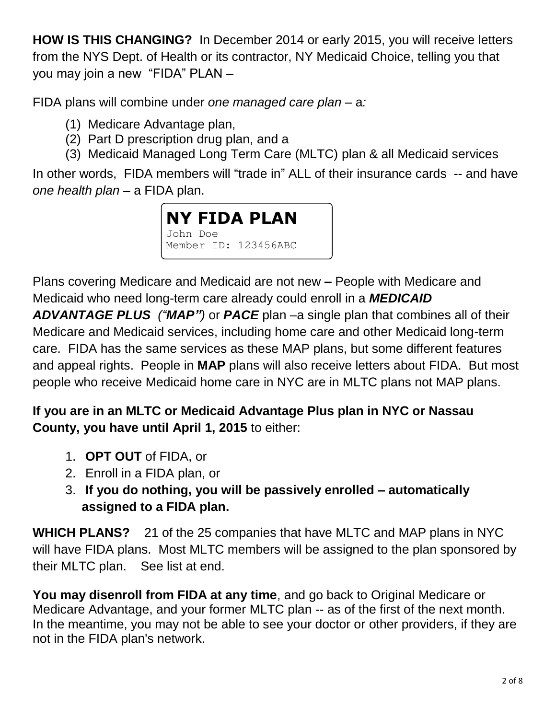**HOW IS THIS CHANGING?** In December 2014 or early 2015, you will receive letters from the NYS Dept. of Health or its contractor, NY Medicaid Choice, telling you that you may join a new "FIDA" PLAN –

FIDA plans will combine under *one managed care plan –* a*:*

- (1) Medicare Advantage plan,
- (2) Part D prescription drug plan, and a
- (3) Medicaid Managed Long Term Care (MLTC) plan & all Medicaid services

In other words, FIDA members will "trade in" ALL of their insurance cards -- and have *one health plan* – a FIDA plan.



Plans covering Medicare and Medicaid are not new **–** People with Medicare and Medicaid who need long-term care already could enroll in a *MEDICAID ADVANTAGE PLUS ("MAP")* or *PACE* plan *–*a single plan that combines all of their Medicare and Medicaid services, including home care and other Medicaid long-term care. FIDA has the same services as these MAP plans, but some different features and appeal rights. People in **MAP** plans will also receive letters about FIDA. But most people who receive Medicaid home care in NYC are in MLTC plans not MAP plans.

**If you are in an MLTC or Medicaid Advantage Plus plan in NYC or Nassau County, you have until April 1, 2015** to either:

- 1. **OPT OUT** of FIDA, or
- 2. Enroll in a FIDA plan, or
- 3. **If you do nothing, you will be passively enrolled – automatically assigned to a FIDA plan.**

**WHICH PLANS?** 21 of the 25 companies that have MLTC and MAP plans in NYC will have FIDA plans. Most MLTC members will be assigned to the plan sponsored by their MLTC plan. See list at end.

**You may disenroll from FIDA at any time**, and go back to Original Medicare or Medicare Advantage, and your former MLTC plan -- as of the first of the next month. In the meantime, you may not be able to see your doctor or other providers, if they are not in the FIDA plan's network.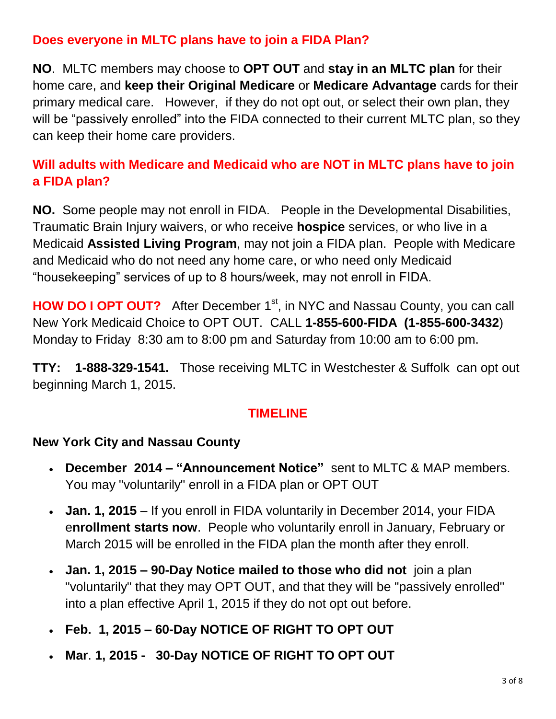#### **Does everyone in MLTC plans have to join a FIDA Plan?**

**NO**. MLTC members may choose to **OPT OUT** and **stay in an MLTC plan** for their home care, and **keep their Original Medicare** or **Medicare Advantage** cards for their primary medical care. However, if they do not opt out, or select their own plan, they will be "passively enrolled" into the FIDA connected to their current MLTC plan, so they can keep their home care providers.

# **Will adults with Medicare and Medicaid who are NOT in MLTC plans have to join a FIDA plan?**

**NO.** Some people may not enroll in FIDA.People in the Developmental Disabilities, Traumatic Brain Injury waivers, or who receive **hospice** services, or who live in a Medicaid **Assisted Living Program**, may not join a FIDA plan. People with Medicare and Medicaid who do not need any home care, or who need only Medicaid "housekeeping" services of up to 8 hours/week, may not enroll in FIDA.

**HOW DO I OPT OUT?** After December 1<sup>st</sup>, in NYC and Nassau County, you can call New York Medicaid Choice to OPT OUT. CALL **1-855-600-FIDA (1-855-600-3432**) Monday to Friday 8:30 am to 8:00 pm and Saturday from 10:00 am to 6:00 pm.

**TTY: 1-888-329-1541.** Those receiving MLTC in Westchester & Suffolk can opt out beginning March 1, 2015.

#### **TIMELINE**

#### **New York City and Nassau County**

- **December 2014 – "Announcement Notice"** sent to MLTC & MAP members. You may "voluntarily" enroll in a FIDA plan or OPT OUT
- **Jan. 1, 2015** If you enroll in FIDA voluntarily in December 2014, your FIDA e**nrollment starts now**. People who voluntarily enroll in January, February or March 2015 will be enrolled in the FIDA plan the month after they enroll.
- **Jan. 1, 2015 – 90-Day Notice mailed to those who did not** join a plan "voluntarily" that they may OPT OUT, and that they will be "passively enrolled" into a plan effective April 1, 2015 if they do not opt out before.
- **Feb. 1, 2015 – 60-Day NOTICE OF RIGHT TO OPT OUT**
- **Mar**. **1, 2015 30-Day NOTICE OF RIGHT TO OPT OUT**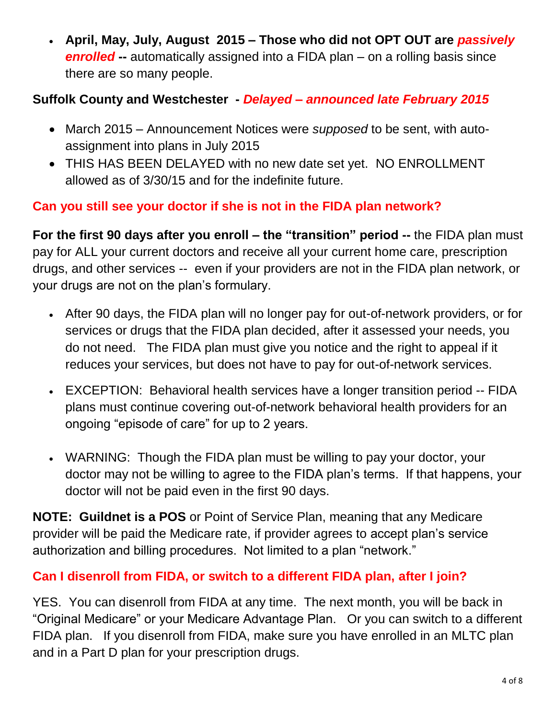**April, May, July, August 2015 – Those who did not OPT OUT are** *passively*  **enrolled** -- automatically assigned into a FIDA plan – on a rolling basis since there are so many people.

## **Suffolk County and Westchester -** *Delayed – announced late February 2015*

- March 2015 Announcement Notices were *supposed* to be sent, with autoassignment into plans in July 2015
- THIS HAS BEEN DELAYED with no new date set yet. NO ENROLLMENT allowed as of 3/30/15 and for the indefinite future.

# **Can you still see your doctor if she is not in the FIDA plan network?**

**For the first 90 days after you enroll – the "transition" period --** the FIDA plan must pay for ALL your current doctors and receive all your current home care, prescription drugs, and other services -- even if your providers are not in the FIDA plan network, or your drugs are not on the plan's formulary.

- After 90 days, the FIDA plan will no longer pay for out-of-network providers, or for services or drugs that the FIDA plan decided, after it assessed your needs, you do not need. The FIDA plan must give you notice and the right to appeal if it reduces your services, but does not have to pay for out-of-network services.
- EXCEPTION: Behavioral health services have a longer transition period -- FIDA plans must continue covering out-of-network behavioral health providers for an ongoing "episode of care" for up to 2 years.
- WARNING: Though the FIDA plan must be willing to pay your doctor, your doctor may not be willing to agree to the FIDA plan's terms. If that happens, your doctor will not be paid even in the first 90 days.

**NOTE: Guildnet is a POS** or Point of Service Plan, meaning that any Medicare provider will be paid the Medicare rate, if provider agrees to accept plan's service authorization and billing procedures. Not limited to a plan "network."

## **Can I disenroll from FIDA, or switch to a different FIDA plan, after I join?**

YES. You can disenroll from FIDA at any time. The next month, you will be back in "Original Medicare" or your Medicare Advantage Plan. Or you can switch to a different FIDA plan. If you disenroll from FIDA, make sure you have enrolled in an MLTC plan and in a Part D plan for your prescription drugs.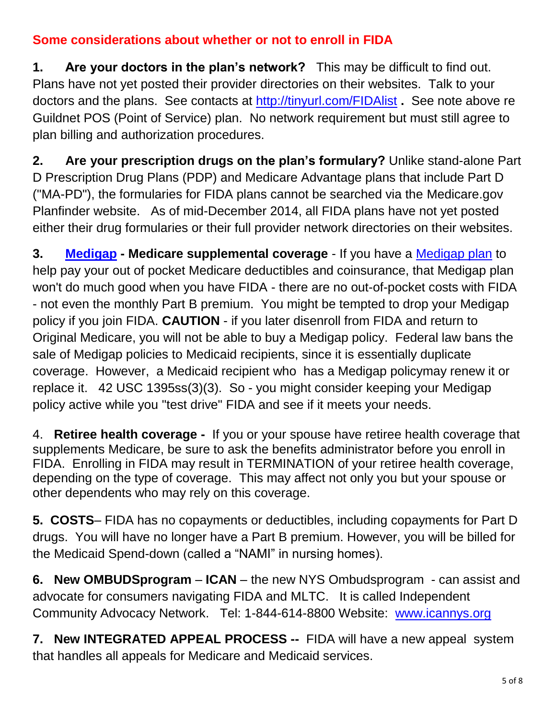#### **Some considerations about whether or not to enroll in FIDA**

**1. Are your doctors in the plan's network?** This may be difficult to find out. Plans have not yet posted their provider directories on their websites. Talk to your doctors and the plans. See contacts at<http://tinyurl.com/FIDAlist> **.** See note above re Guildnet POS (Point of Service) plan.No network requirement but must still agree to plan billing and authorization procedures.

**2. Are your prescription drugs on the plan's formulary?** Unlike stand-alone Part D Prescription Drug Plans (PDP) and Medicare Advantage plans that include Part D ("MA-PD"), the formularies for FIDA plans cannot be searched via the Medicare.gov Planfinder website. As of mid-December 2014, all FIDA plans have not yet posted either their drug formularies or their full provider network directories on their websites.

**3. [Medigap](http://www.wnylc.com/health/entry/35/) - Medicare supplemental coverage** - If you have a [Medigap plan](http://www.wnylc.com/health/entry/35/) to help pay your out of pocket Medicare deductibles and coinsurance, that Medigap plan won't do much good when you have FIDA - there are no out-of-pocket costs with FIDA - not even the monthly Part B premium. You might be tempted to drop your Medigap policy if you join FIDA. **CAUTION** - if you later disenroll from FIDA and return to Original Medicare, you will not be able to buy a Medigap policy. Federal law bans the sale of Medigap policies to Medicaid recipients, since it is essentially duplicate coverage. However, a Medicaid recipient who has a Medigap policymay renew it or replace it. 42 USC 1395ss(3)(3). So - you might consider keeping your Medigap policy active while you "test drive" FIDA and see if it meets your needs.

4. **Retiree health coverage -** If you or your spouse have retiree health coverage that supplements Medicare, be sure to ask the benefits administrator before you enroll in FIDA. Enrolling in FIDA may result in TERMINATION of your retiree health coverage, depending on the type of coverage. This may affect not only you but your spouse or other dependents who may rely on this coverage.

**5. COSTS**– FIDA has no copayments or deductibles, including copayments for Part D drugs. You will have no longer have a Part B premium. However, you will be billed for the Medicaid Spend-down (called a "NAMI" in nursing homes).

**6. New OMBUDSprogram** – **ICAN** – the new NYS Ombudsprogram - can assist and advocate for consumers navigating FIDA and MLTC. It is called Independent Community Advocacy Network. Tel: 1-844-614-8800 Website: [www.icannys.org](http://www.icannys.org/)

**7. New INTEGRATED APPEAL PROCESS --** FIDA will have a new appeal system that handles all appeals for Medicare and Medicaid services.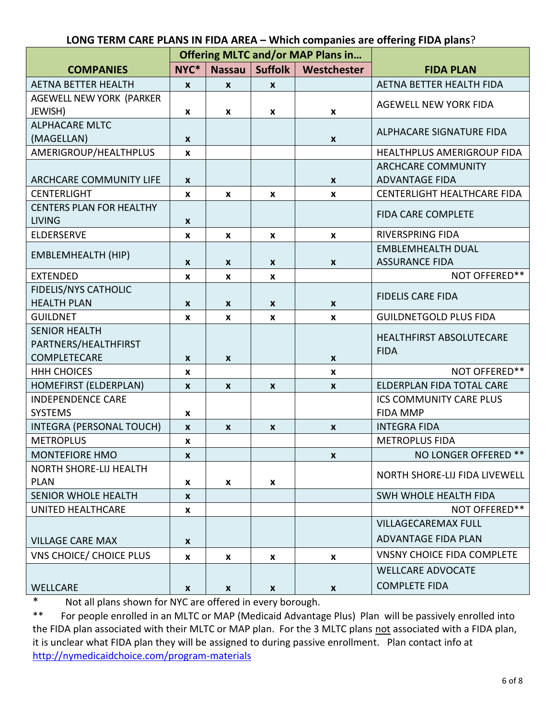#### **LONG TERM CARE PLANS IN FIDA AREA – Which companies are offering FIDA plans**?

|                                 | <b>Offering MLTC and/or MAP Plans in</b> |                  |                    |                    |                                   |  |
|---------------------------------|------------------------------------------|------------------|--------------------|--------------------|-----------------------------------|--|
| <b>COMPANIES</b>                | NYC*                                     | <b>Nassau</b>    | <b>Suffolk</b>     | Westchester        | <b>FIDA PLAN</b>                  |  |
| <b>AETNA BETTER HEALTH</b>      | $\mathbf{x}$                             | $\mathbf{x}$     | $\mathbf{x}$       |                    | AETNA BETTER HEALTH FIDA          |  |
| AGEWELL NEW YORK (PARKER        |                                          |                  |                    |                    | <b>AGEWELL NEW YORK FIDA</b>      |  |
| JEWISH)                         | X                                        | X                | X                  | X                  |                                   |  |
| <b>ALPHACARE MLTC</b>           |                                          |                  |                    |                    | ALPHACARE SIGNATURE FIDA          |  |
| (MAGELLAN)                      | $\boldsymbol{x}$                         |                  |                    | $\pmb{\mathsf{X}}$ |                                   |  |
| AMERIGROUP/HEALTHPLUS           | $\pmb{\mathsf{x}}$                       |                  |                    |                    | HEALTHPLUS AMERIGROUP FIDA        |  |
|                                 |                                          |                  |                    |                    | <b>ARCHCARE COMMUNITY</b>         |  |
| ARCHCARE COMMUNITY LIFE         | $\boldsymbol{x}$                         |                  |                    | $\pmb{\mathsf{X}}$ | <b>ADVANTAGE FIDA</b>             |  |
| <b>CENTERLIGHT</b>              | X                                        | X                | $\pmb{\mathsf{x}}$ | $\pmb{\mathsf{X}}$ | CENTERLIGHT HEALTHCARE FIDA       |  |
| <b>CENTERS PLAN FOR HEALTHY</b> |                                          |                  |                    |                    | <b>FIDA CARE COMPLETE</b>         |  |
| <b>LIVING</b>                   | $\pmb{\mathsf{x}}$                       |                  |                    |                    |                                   |  |
| <b>ELDERSERVE</b>               | $\pmb{\mathsf{x}}$                       | $\boldsymbol{x}$ | $\pmb{\mathsf{x}}$ | $\pmb{\mathsf{X}}$ | <b>RIVERSPRING FIDA</b>           |  |
|                                 |                                          |                  |                    |                    | <b>EMBLEMHEALTH DUAL</b>          |  |
| <b>EMBLEMHEALTH (HIP)</b>       | $\boldsymbol{x}$                         | X                | $\pmb{\mathsf{X}}$ | $\mathbf{x}$       | <b>ASSURANCE FIDA</b>             |  |
| <b>EXTENDED</b>                 | X                                        | x                | $\boldsymbol{x}$   |                    | NOT OFFERED**                     |  |
| <b>FIDELIS/NYS CATHOLIC</b>     |                                          |                  |                    |                    |                                   |  |
| <b>HEALTH PLAN</b>              | X                                        | X                | X                  | $\boldsymbol{x}$   | <b>FIDELIS CARE FIDA</b>          |  |
| <b>GUILDNET</b>                 | X                                        | X                | X                  | $\mathbf{x}$       | <b>GUILDNETGOLD PLUS FIDA</b>     |  |
| <b>SENIOR HEALTH</b>            |                                          |                  |                    |                    |                                   |  |
| PARTNERS/HEALTHFIRST            |                                          |                  |                    |                    | <b>HEALTHFIRST ABSOLUTECARE</b>   |  |
| COMPLETECARE                    | X                                        | X                |                    | $\mathbf{x}$       | <b>FIDA</b>                       |  |
| <b>HHH CHOICES</b>              | X                                        |                  |                    | $\mathbf{x}$       | NOT OFFERED**                     |  |
| HOMEFIRST (ELDERPLAN)           | X                                        | X                | $\boldsymbol{x}$   | $\boldsymbol{x}$   | ELDERPLAN FIDA TOTAL CARE         |  |
| <b>INDEPENDENCE CARE</b>        |                                          |                  |                    |                    | ICS COMMUNITY CARE PLUS           |  |
| <b>SYSTEMS</b>                  | X                                        |                  |                    |                    | <b>FIDA MMP</b>                   |  |
| INTEGRA (PERSONAL TOUCH)        | $\pmb{\mathsf{x}}$                       | $\boldsymbol{x}$ | $\boldsymbol{x}$   | $\pmb{\mathsf{X}}$ | <b>INTEGRA FIDA</b>               |  |
| <b>METROPLUS</b>                | X                                        |                  |                    |                    | <b>METROPLUS FIDA</b>             |  |
| <b>MONTEFIORE HMO</b>           | X.                                       |                  |                    | X                  | NO LONGER OFFERED **              |  |
| NORTH SHORE-LIJ HEALTH          |                                          |                  |                    |                    |                                   |  |
| <b>PLAN</b>                     | X                                        | x                | $\mathbf{x}$       |                    | NORTH SHORE-LIJ FIDA LIVEWELL     |  |
| SENIOR WHOLE HEALTH             | $\mathbf{x}$                             |                  |                    |                    | SWH WHOLE HEALTH FIDA             |  |
| <b>UNITED HEALTHCARE</b>        | x                                        |                  |                    |                    | NOT OFFERED**                     |  |
|                                 |                                          |                  |                    |                    | <b>VILLAGECAREMAX FULL</b>        |  |
| <b>VILLAGE CARE MAX</b>         | $\mathbf{x}$                             |                  |                    |                    | <b>ADVANTAGE FIDA PLAN</b>        |  |
| <b>VNS CHOICE/ CHOICE PLUS</b>  | X                                        | x                | X                  | $\mathbf{x}$       | <b>VNSNY CHOICE FIDA COMPLETE</b> |  |
|                                 |                                          |                  |                    |                    | <b>WELLCARE ADVOCATE</b>          |  |
| <b>WELLCARE</b>                 | X                                        | X                | $\mathbf{x}$       | $\mathbf{x}$       | <b>COMPLETE FIDA</b>              |  |

\* Not all plans shown for NYC are offered in every borough.<br>\*\* For people enrolled in an MLTC or MAP (Medicaid Advantar

For people enrolled in an MLTC or MAP (Medicaid Advantage Plus) Plan will be passively enrolled into the FIDA plan associated with their MLTC or MAP plan. For the 3 MLTC plans not associated with a FIDA plan, it is unclear what FIDA plan they will be assigned to during passive enrollment. Plan contact info at <http://nymedicaidchoice.com/program-materials>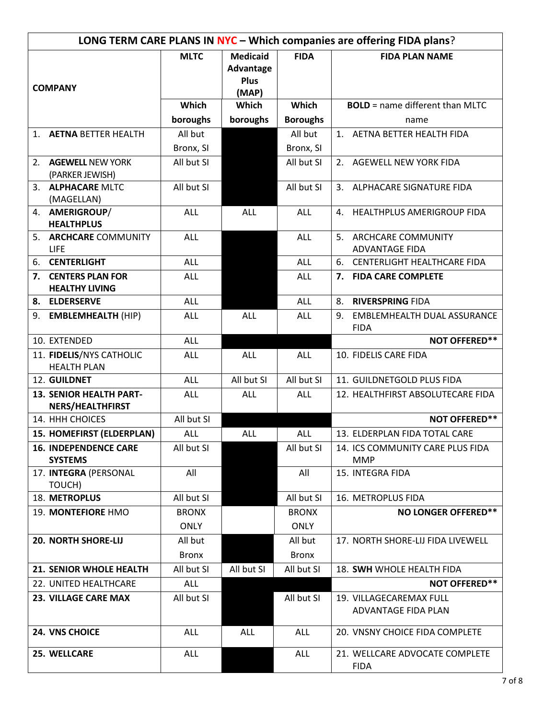| LONG TERM CARE PLANS IN NYC - Which companies are offering FIDA plans? |  |              |                          |                 |                                                  |  |
|------------------------------------------------------------------------|--|--------------|--------------------------|-----------------|--------------------------------------------------|--|
| <b>COMPANY</b>                                                         |  | <b>MLTC</b>  | <b>Medicaid</b>          | <b>FIDA</b>     | <b>FIDA PLAN NAME</b>                            |  |
|                                                                        |  |              | Advantage<br><b>Plus</b> |                 |                                                  |  |
|                                                                        |  |              | (MAP)                    |                 |                                                  |  |
|                                                                        |  | Which        | Which                    | Which           | <b>BOLD</b> = name different than MLTC           |  |
|                                                                        |  | boroughs     | boroughs                 | <b>Boroughs</b> | name                                             |  |
| 1. AETNA BETTER HEALTH                                                 |  | All but      |                          | All but         | 1. AETNA BETTER HEALTH FIDA                      |  |
|                                                                        |  | Bronx, SI    |                          | Bronx, SI       |                                                  |  |
| <b>AGEWELL NEW YORK</b><br>2.                                          |  | All but SI   |                          | All but SI      | 2. AGEWELL NEW YORK FIDA                         |  |
| (PARKER JEWISH)                                                        |  |              |                          |                 |                                                  |  |
| 3. ALPHACARE MLTC                                                      |  | All but SI   |                          | All but SI      | 3. ALPHACARE SIGNATURE FIDA                      |  |
| (MAGELLAN)<br>4. AMERIGROUP/                                           |  | <b>ALL</b>   | ALL                      | <b>ALL</b>      | HEALTHPLUS AMERIGROUP FIDA<br>4.                 |  |
| <b>HEALTHPLUS</b>                                                      |  |              |                          |                 |                                                  |  |
| 5. ARCHCARE COMMUNITY                                                  |  | <b>ALL</b>   |                          | <b>ALL</b>      | 5. ARCHCARE COMMUNITY                            |  |
| <b>LIFE</b>                                                            |  |              |                          |                 | <b>ADVANTAGE FIDA</b>                            |  |
| <b>CENTERLIGHT</b><br>6.                                               |  | <b>ALL</b>   |                          | <b>ALL</b>      | CENTERLIGHT HEALTHCARE FIDA<br>6.                |  |
| 7. CENTERS PLAN FOR<br><b>HEALTHY LIVING</b>                           |  | <b>ALL</b>   |                          | <b>ALL</b>      | 7. FIDA CARE COMPLETE                            |  |
| 8. ELDERSERVE                                                          |  | <b>ALL</b>   |                          | <b>ALL</b>      | <b>RIVERSPRING FIDA</b><br>8.                    |  |
| <b>EMBLEMHEALTH (HIP)</b><br>9.                                        |  | <b>ALL</b>   | <b>ALL</b>               | ALL             | EMBLEMHEALTH DUAL ASSURANCE<br>9.<br><b>FIDA</b> |  |
| 10. EXTENDED                                                           |  | <b>ALL</b>   |                          |                 | <b>NOT OFFERED**</b>                             |  |
| 11. FIDELIS/NYS CATHOLIC<br><b>HEALTH PLAN</b>                         |  | <b>ALL</b>   | <b>ALL</b>               | <b>ALL</b>      | 10. FIDELIS CARE FIDA                            |  |
| 12. GUILDNET                                                           |  | <b>ALL</b>   | All but SI               | All but SI      | 11. GUILDNETGOLD PLUS FIDA                       |  |
| <b>13. SENIOR HEALTH PART-</b><br><b>NERS/HEALTHFIRST</b>              |  | <b>ALL</b>   | <b>ALL</b>               | <b>ALL</b>      | 12. HEALTHFIRST ABSOLUTECARE FIDA                |  |
| 14. HHH CHOICES                                                        |  | All but SI   |                          |                 | <b>NOT OFFERED**</b>                             |  |
| 15. HOMEFIRST (ELDERPLAN)                                              |  | <b>ALL</b>   | <b>ALL</b>               | <b>ALL</b>      | 13. ELDERPLAN FIDA TOTAL CARE                    |  |
| <b>16. INDEPENDENCE CARE</b><br><b>SYSTEMS</b>                         |  | All but SI   |                          | All but SI      | 14. ICS COMMUNITY CARE PLUS FIDA<br><b>MMP</b>   |  |
| 17. INTEGRA (PERSONAL<br>TOUCH)                                        |  | All          |                          | All             | 15. INTEGRA FIDA                                 |  |
| 18. METROPLUS                                                          |  | All but SI   |                          | All but SI      | 16. METROPLUS FIDA                               |  |
| 19. MONTEFIORE HMO                                                     |  | <b>BRONX</b> |                          | <b>BRONX</b>    | <b>NO LONGER OFFERED**</b>                       |  |
|                                                                        |  | <b>ONLY</b>  |                          | <b>ONLY</b>     |                                                  |  |
| <b>20. NORTH SHORE-LIJ</b>                                             |  | All but      |                          | All but         | 17. NORTH SHORE-LIJ FIDA LIVEWELL                |  |
|                                                                        |  | <b>Bronx</b> |                          | <b>Bronx</b>    |                                                  |  |
| 21. SENIOR WHOLE HEALTH                                                |  | All but SI   | All but SI               | All but SI      | 18. SWH WHOLE HEALTH FIDA                        |  |
| 22. UNITED HEALTHCARE                                                  |  | <b>ALL</b>   |                          |                 | <b>NOT OFFERED**</b>                             |  |
| <b>23. VILLAGE CARE MAX</b>                                            |  | All but SI   |                          | All but SI      | 19. VILLAGECAREMAX FULL<br>ADVANTAGE FIDA PLAN   |  |
| 24. VNS CHOICE                                                         |  | <b>ALL</b>   | ALL                      | ALL             | 20. VNSNY CHOICE FIDA COMPLETE                   |  |
| 25. WELLCARE                                                           |  | <b>ALL</b>   |                          | <b>ALL</b>      | 21. WELLCARE ADVOCATE COMPLETE<br><b>FIDA</b>    |  |